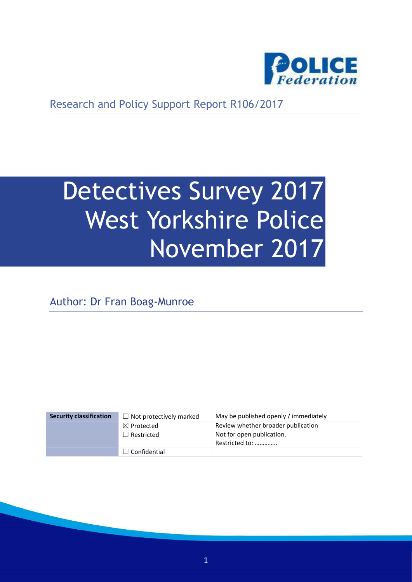

Research and Policy Support Report R106/2017

# Detectives Survey 2017 West Yorkshire Police November 2017

Author: Dr Fran Boag-Munroe

| <b>Security classification</b> | $\Box$ Not protectively marked | May be published openly / immediately       |
|--------------------------------|--------------------------------|---------------------------------------------|
|                                | $\boxtimes$ Protected          | Review whether broader publication          |
|                                | $\Box$ Restricted              | Not for open publication.<br>Restricted to: |
|                                | $\Box$ Confidential            |                                             |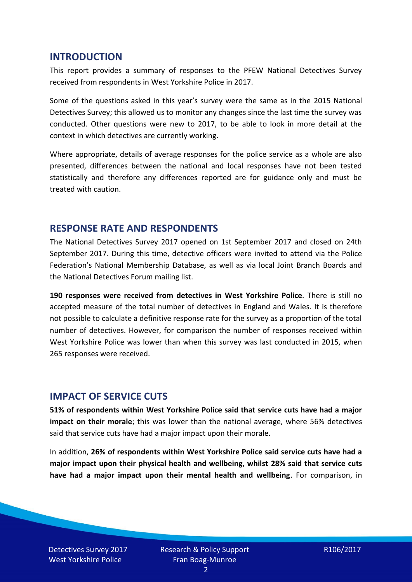#### **INTRODUCTION**

This report provides a summary of responses to the PFEW National Detectives Survey received from respondents in West Yorkshire Police in 2017.

Some of the questions asked in this year's survey were the same as in the 2015 National Detectives Survey; this allowed us to monitor any changes since the last time the survey was conducted. Other questions were new to 2017, to be able to look in more detail at the context in which detectives are currently working.

Where appropriate, details of average responses for the police service as a whole are also presented, differences between the national and local responses have not been tested statistically and therefore any differences reported are for guidance only and must be treated with caution.

#### **RESPONSE RATE AND RESPONDENTS**

The National Detectives Survey 2017 opened on 1st September 2017 and closed on 24th September 2017. During this time, detective officers were invited to attend via the Police Federation's National Membership Database, as well as via local Joint Branch Boards and the National Detectives Forum mailing list.

**190 responses were received from detectives in West Yorkshire Police**. There is still no accepted measure of the total number of detectives in England and Wales. It is therefore not possible to calculate a definitive response rate for the survey as a proportion of the total number of detectives. However, for comparison the number of responses received within West Yorkshire Police was lower than when this survey was last conducted in 2015, when 265 responses were received.

#### **IMPACT OF SERVICE CUTS**

**51% of respondents within West Yorkshire Police said that service cuts have had a major impact on their morale**; this was lower than the national average, where 56% detectives said that service cuts have had a major impact upon their morale.

In addition, **26% of respondents within West Yorkshire Police said service cuts have had a major impact upon their physical health and wellbeing, whilst 28% said that service cuts have had a major impact upon their mental health and wellbeing**. For comparison, in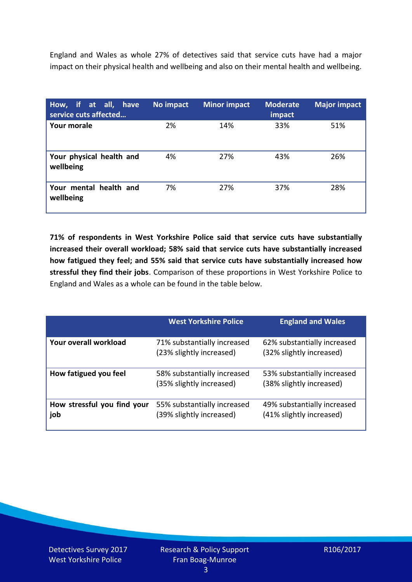England and Wales as whole 27% of detectives said that service cuts have had a major impact on their physical health and wellbeing and also on their mental health and wellbeing.

| How, if at all, have<br>service cuts affected | No impact | <b>Minor impact</b> | <b>Moderate</b><br>impact | <b>Major impact</b> |
|-----------------------------------------------|-----------|---------------------|---------------------------|---------------------|
| Your morale                                   | 2%        | 14%                 | 33%                       | 51%                 |
| Your physical health and<br>wellbeing         | 4%        | 27%                 | 43%                       | 26%                 |
| Your mental health and<br>wellbeing           | 7%        | 27%                 | 37%                       | 28%                 |

**71% of respondents in West Yorkshire Police said that service cuts have substantially increased their overall workload; 58% said that service cuts have substantially increased how fatigued they feel; and 55% said that service cuts have substantially increased how stressful they find their jobs**. Comparison of these proportions in West Yorkshire Police to England and Wales as a whole can be found in the table below.

|                                    | <b>West Yorkshire Police</b>                            | <b>England and Wales</b>                                |
|------------------------------------|---------------------------------------------------------|---------------------------------------------------------|
| Your overall workload              | 71% substantially increased<br>(23% slightly increased) | 62% substantially increased<br>(32% slightly increased) |
| How fatigued you feel              | 58% substantially increased<br>(35% slightly increased) | 53% substantially increased<br>(38% slightly increased) |
| How stressful you find your<br>job | 55% substantially increased<br>(39% slightly increased) | 49% substantially increased<br>(41% slightly increased) |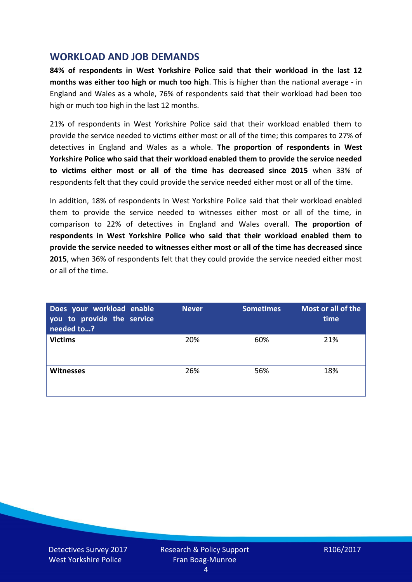## **WORKLOAD AND JOB DEMANDS**

**84% of respondents in West Yorkshire Police said that their workload in the last 12 months was either too high or much too high**. This is higher than the national average - in England and Wales as a whole, 76% of respondents said that their workload had been too high or much too high in the last 12 months.

21% of respondents in West Yorkshire Police said that their workload enabled them to provide the service needed to victims either most or all of the time; this compares to 27% of detectives in England and Wales as a whole. **The proportion of respondents in West Yorkshire Police who said that their workload enabled them to provide the service needed to victims either most or all of the time has decreased since 2015** when 33% of respondents felt that they could provide the service needed either most or all of the time.

In addition, 18% of respondents in West Yorkshire Police said that their workload enabled them to provide the service needed to witnesses either most or all of the time, in comparison to 22% of detectives in England and Wales overall. **The proportion of respondents in West Yorkshire Police who said that their workload enabled them to provide the service needed to witnesses either most or all of the time has decreased since 2015**, when 36% of respondents felt that they could provide the service needed either most or all of the time.

| Does your workload enable<br>you to provide the service<br>needed to? | <b>Never</b> | <b>Sometimes</b> | Most or all of the<br>time |
|-----------------------------------------------------------------------|--------------|------------------|----------------------------|
| <b>Victims</b>                                                        | 20%          | 60%              | 21%                        |
| <b>Witnesses</b>                                                      | 26%          | 56%              | 18%                        |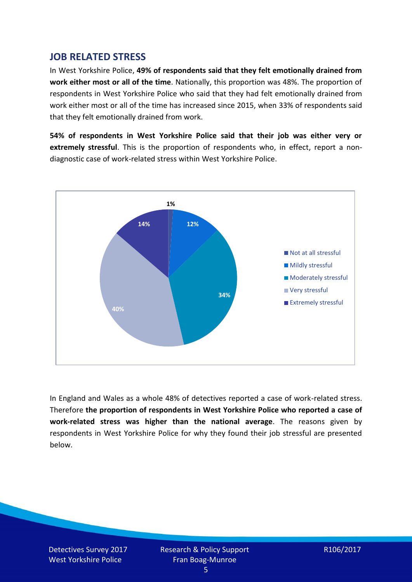## **JOB RELATED STRESS**

In West Yorkshire Police, **49% of respondents said that they felt emotionally drained from work either most or all of the time**. Nationally, this proportion was 48%. The proportion of respondents in West Yorkshire Police who said that they had felt emotionally drained from work either most or all of the time has increased since 2015, when 33% of respondents said that they felt emotionally drained from work.

**54% of respondents in West Yorkshire Police said that their job was either very or extremely stressful**. This is the proportion of respondents who, in effect, report a nondiagnostic case of work-related stress within West Yorkshire Police.



In England and Wales as a whole 48% of detectives reported a case of work-related stress. Therefore **the proportion of respondents in West Yorkshire Police who reported a case of work-related stress was higher than the national average**. The reasons given by respondents in West Yorkshire Police for why they found their job stressful are presented below.

Detectives Survey 2017 West Yorkshire Police

Research & Policy Support Fran Boag-Munroe

R106/2017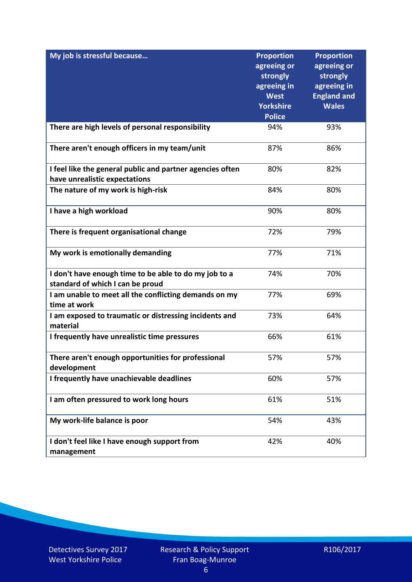| My job is stressful because                                                                | <b>Proportion</b><br>agreeing or<br>strongly<br>agreeing in<br><b>West</b><br><b>Yorkshire</b><br><b>Police</b> | <b>Proportion</b><br>agreeing or<br>strongly<br>agreeing in<br><b>England and</b><br><b>Wales</b> |
|--------------------------------------------------------------------------------------------|-----------------------------------------------------------------------------------------------------------------|---------------------------------------------------------------------------------------------------|
| There are high levels of personal responsibility                                           | 94%                                                                                                             | 93%                                                                                               |
| There aren't enough officers in my team/unit                                               | 87%                                                                                                             | 86%                                                                                               |
| I feel like the general public and partner agencies often<br>have unrealistic expectations | 80%                                                                                                             | 82%                                                                                               |
| The nature of my work is high-risk                                                         | 84%                                                                                                             | 80%                                                                                               |
| I have a high workload                                                                     | 90%                                                                                                             | 80%                                                                                               |
| There is frequent organisational change                                                    | 72%                                                                                                             | 79%                                                                                               |
| My work is emotionally demanding                                                           | 77%                                                                                                             | 71%                                                                                               |
| I don't have enough time to be able to do my job to a<br>standard of which I can be proud  | 74%                                                                                                             | 70%                                                                                               |
| I am unable to meet all the conflicting demands on my<br>time at work                      | 77%                                                                                                             | 69%                                                                                               |
| I am exposed to traumatic or distressing incidents and<br>material                         | 73%                                                                                                             | 64%                                                                                               |
| I frequently have unrealistic time pressures                                               | 66%                                                                                                             | 61%                                                                                               |
| There aren't enough opportunities for professional<br>development                          | 57%                                                                                                             | 57%                                                                                               |
| I frequently have unachievable deadlines                                                   | 60%                                                                                                             | 57%                                                                                               |
| I am often pressured to work long hours                                                    | 61%                                                                                                             | 51%                                                                                               |
| My work-life balance is poor                                                               | 54%                                                                                                             | 43%                                                                                               |
| I don't feel like I have enough support from<br>management                                 | 42%                                                                                                             | 40%                                                                                               |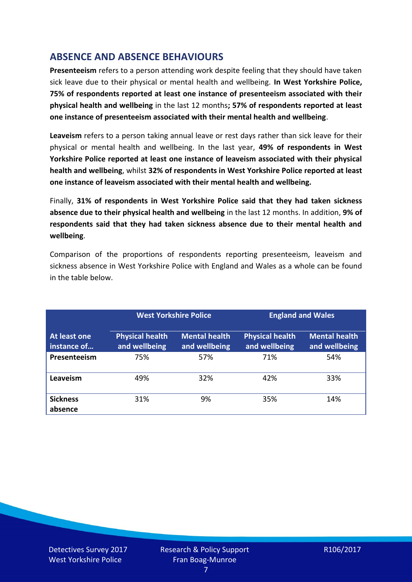# **ABSENCE AND ABSENCE BEHAVIOURS**

**Presenteeism** refers to a person attending work despite feeling that they should have taken sick leave due to their physical or mental health and wellbeing. **In West Yorkshire Police, 75% of respondents reported at least one instance of presenteeism associated with their physical health and wellbeing** in the last 12 months**; 57% of respondents reported at least one instance of presenteeism associated with their mental health and wellbeing**.

**Leaveism** refers to a person taking annual leave or rest days rather than sick leave for their physical or mental health and wellbeing. In the last year, **49% of respondents in West Yorkshire Police reported at least one instance of leaveism associated with their physical health and wellbeing**, whilst **32% of respondents in West Yorkshire Police reported at least one instance of leaveism associated with their mental health and wellbeing.**

Finally, **31% of respondents in West Yorkshire Police said that they had taken sickness absence due to their physical health and wellbeing** in the last 12 months. In addition, **9% of respondents said that they had taken sickness absence due to their mental health and wellbeing**.

Comparison of the proportions of respondents reporting presenteeism, leaveism and sickness absence in West Yorkshire Police with England and Wales as a whole can be found in the table below.

|                             |                                         | <b>West Yorkshire Police</b>          |                                         | <b>England and Wales</b>              |
|-----------------------------|-----------------------------------------|---------------------------------------|-----------------------------------------|---------------------------------------|
| At least one<br>instance of | <b>Physical health</b><br>and wellbeing | <b>Mental health</b><br>and wellbeing | <b>Physical health</b><br>and wellbeing | <b>Mental health</b><br>and wellbeing |
| Presenteeism                | 75%                                     | 57%                                   | 71%                                     | 54%                                   |
| Leaveism                    | 49%                                     | 32%                                   | 42%                                     | 33%                                   |
| <b>Sickness</b><br>absence  | 31%                                     | 9%                                    | 35%                                     | 14%                                   |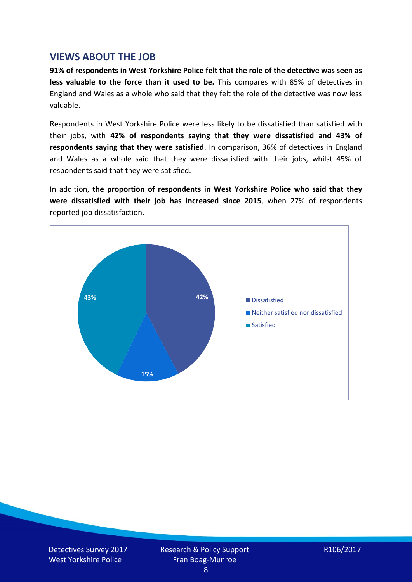## **VIEWS ABOUT THE JOB**

**91% of respondents in West Yorkshire Police felt that the role of the detective was seen as less valuable to the force than it used to be.** This compares with 85% of detectives in England and Wales as a whole who said that they felt the role of the detective was now less valuable.

Respondents in West Yorkshire Police were less likely to be dissatisfied than satisfied with their jobs, with **42% of respondents saying that they were dissatisfied and 43% of respondents saying that they were satisfied**. In comparison, 36% of detectives in England and Wales as a whole said that they were dissatisfied with their jobs, whilst 45% of respondents said that they were satisfied.

In addition, **the proportion of respondents in West Yorkshire Police who said that they were dissatisfied with their job has increased since 2015**, when 27% of respondents reported job dissatisfaction.

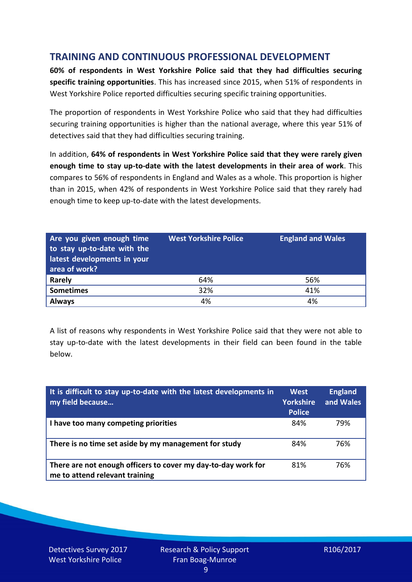# **TRAINING AND CONTINUOUS PROFESSIONAL DEVELOPMENT**

**60% of respondents in West Yorkshire Police said that they had difficulties securing specific training opportunities**. This has increased since 2015, when 51% of respondents in West Yorkshire Police reported difficulties securing specific training opportunities.

The proportion of respondents in West Yorkshire Police who said that they had difficulties securing training opportunities is higher than the national average, where this year 51% of detectives said that they had difficulties securing training.

In addition, **64% of respondents in West Yorkshire Police said that they were rarely given enough time to stay up-to-date with the latest developments in their area of work**. This compares to 56% of respondents in England and Wales as a whole. This proportion is higher than in 2015, when 42% of respondents in West Yorkshire Police said that they rarely had enough time to keep up-to-date with the latest developments.

| Are you given enough time<br>to stay up-to-date with the<br>latest developments in your<br>area of work? | <b>West Yorkshire Police</b> | <b>England and Wales</b> |
|----------------------------------------------------------------------------------------------------------|------------------------------|--------------------------|
| <b>Rarely</b>                                                                                            | 64%                          | 56%                      |
| <b>Sometimes</b>                                                                                         | 32%                          | 41%                      |
| <b>Always</b>                                                                                            | 4%                           | 4%                       |

A list of reasons why respondents in West Yorkshire Police said that they were not able to stay up-to-date with the latest developments in their field can been found in the table below.

| It is difficult to stay up-to-date with the latest developments in<br>my field because          | <b>West</b><br><b>Yorkshire</b><br><b>Police</b> | <b>England</b><br>and Wales |
|-------------------------------------------------------------------------------------------------|--------------------------------------------------|-----------------------------|
| I have too many competing priorities                                                            | 84%                                              | 79%                         |
| There is no time set aside by my management for study                                           | 84%                                              | 76%                         |
| There are not enough officers to cover my day-to-day work for<br>me to attend relevant training | 81%                                              | 76%                         |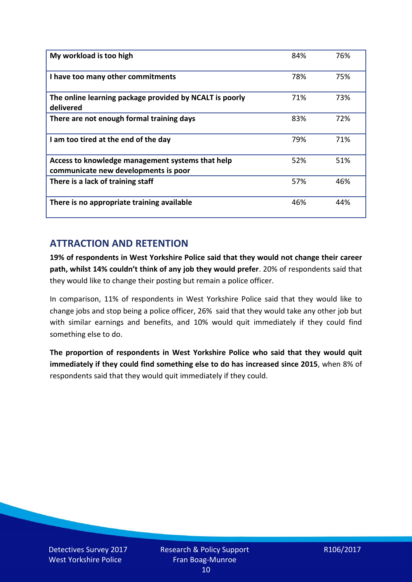| My workload is too high                                                                  | 84% | 76% |
|------------------------------------------------------------------------------------------|-----|-----|
| I have too many other commitments                                                        | 78% | 75% |
| The online learning package provided by NCALT is poorly<br>delivered                     | 71% | 73% |
| There are not enough formal training days                                                | 83% | 72% |
| I am too tired at the end of the day                                                     | 79% | 71% |
| Access to knowledge management systems that help<br>communicate new developments is poor | 52% | 51% |
| There is a lack of training staff                                                        | 57% | 46% |
| There is no appropriate training available                                               | 46% | 44% |

# **ATTRACTION AND RETENTION**

**19% of respondents in West Yorkshire Police said that they would not change their career path, whilst 14% couldn't think of any job they would prefer**. 20% of respondents said that they would like to change their posting but remain a police officer.

In comparison, 11% of respondents in West Yorkshire Police said that they would like to change jobs and stop being a police officer, 26% said that they would take any other job but with similar earnings and benefits, and 10% would quit immediately if they could find something else to do.

**The proportion of respondents in West Yorkshire Police who said that they would quit immediately if they could find something else to do has increased since 2015**, when 8% of respondents said that they would quit immediately if they could.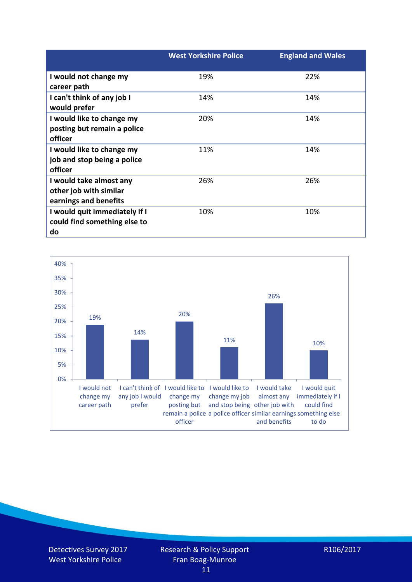|                               | <b>West Yorkshire Police</b> | <b>England and Wales</b> |
|-------------------------------|------------------------------|--------------------------|
| I would not change my         | 19%                          | 22%                      |
| career path                   |                              |                          |
| I can't think of any job I    | 14%                          | 14%                      |
| would prefer                  |                              |                          |
| I would like to change my     | 20%                          | 14%                      |
| posting but remain a police   |                              |                          |
| officer                       |                              |                          |
| I would like to change my     | 11%                          | 14%                      |
| job and stop being a police   |                              |                          |
| officer                       |                              |                          |
| I would take almost any       | 26%                          | 26%                      |
| other job with similar        |                              |                          |
| earnings and benefits         |                              |                          |
| I would quit immediately if I | 10%                          | 10%                      |
| could find something else to  |                              |                          |
| do                            |                              |                          |